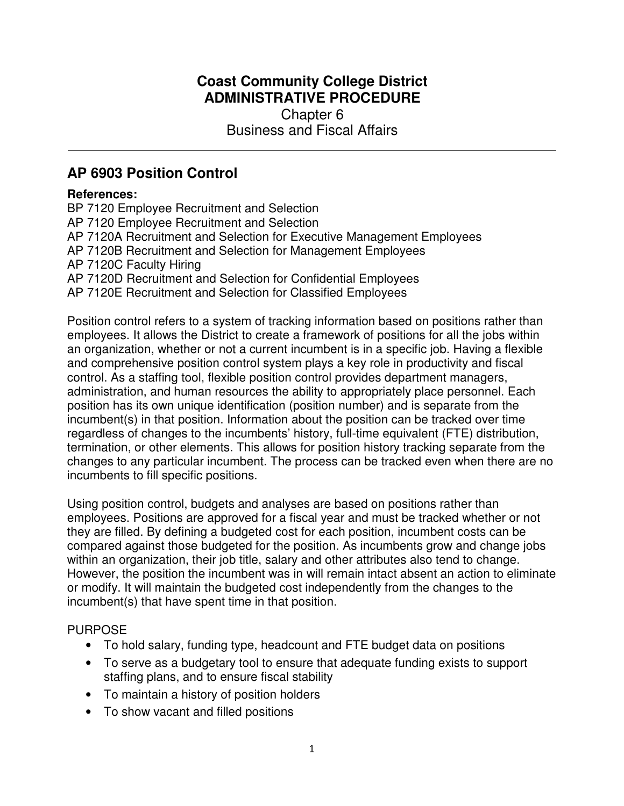## **Coast Community College District ADMINISTRATIVE PROCEDURE**  Chapter 6 Business and Fiscal Affairs

# **AP 6903 Position Control**

#### **References:**

BP 7120 Employee Recruitment and Selection AP 7120 Employee Recruitment and Selection AP 7120A Recruitment and Selection for Executive Management Employees AP 7120B Recruitment and Selection for Management Employees AP 7120C Faculty Hiring AP 7120D Recruitment and Selection for Confidential Employees AP 7120E Recruitment and Selection for Classified Employees

Position control refers to a system of tracking information based on positions rather than employees. It allows the District to create a framework of positions for all the jobs within an organization, whether or not a current incumbent is in a specific job. Having a flexible and comprehensive position control system plays a key role in productivity and fiscal control. As a staffing tool, flexible position control provides department managers, administration, and human resources the ability to appropriately place personnel. Each position has its own unique identification (position number) and is separate from the incumbent(s) in that position. Information about the position can be tracked over time regardless of changes to the incumbents' history, full-time equivalent (FTE) distribution, termination, or other elements. This allows for position history tracking separate from the changes to any particular incumbent. The process can be tracked even when there are no incumbents to fill specific positions.

Using position control, budgets and analyses are based on positions rather than employees. Positions are approved for a fiscal year and must be tracked whether or not they are filled. By defining a budgeted cost for each position, incumbent costs can be compared against those budgeted for the position. As incumbents grow and change jobs within an organization, their job title, salary and other attributes also tend to change. However, the position the incumbent was in will remain intact absent an action to eliminate or modify. It will maintain the budgeted cost independently from the changes to the incumbent(s) that have spent time in that position.

### PURPOSE

- To hold salary, funding type, headcount and FTE budget data on positions
- To serve as a budgetary tool to ensure that adequate funding exists to support staffing plans, and to ensure fiscal stability
- To maintain a history of position holders
- To show vacant and filled positions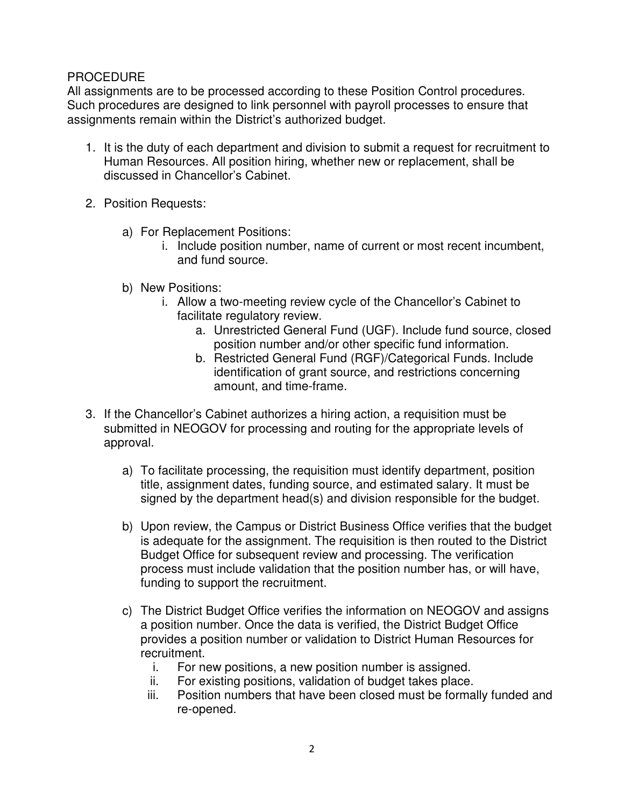### PROCEDURE

All assignments are to be processed according to these Position Control procedures. Such procedures are designed to link personnel with payroll processes to ensure that assignments remain within the District's authorized budget.

- 1. It is the duty of each department and division to submit a request for recruitment to Human Resources. All position hiring, whether new or replacement, shall be discussed in Chancellor's Cabinet.
- 2. Position Requests:
	- a) For Replacement Positions:
		- i. Include position number, name of current or most recent incumbent, and fund source.
	- b) New Positions:
		- i. Allow a two-meeting review cycle of the Chancellor's Cabinet to facilitate regulatory review.
			- a. Unrestricted General Fund (UGF). Include fund source, closed position number and/or other specific fund information.
			- b. Restricted General Fund (RGF)/Categorical Funds. Include identification of grant source, and restrictions concerning amount, and time-frame.
- 3. If the Chancellor's Cabinet authorizes a hiring action, a requisition must be submitted in NEOGOV for processing and routing for the appropriate levels of approval.
	- a) To facilitate processing, the requisition must identify department, position title, assignment dates, funding source, and estimated salary. It must be signed by the department head(s) and division responsible for the budget.
	- b) Upon review, the Campus or District Business Office verifies that the budget is adequate for the assignment. The requisition is then routed to the District Budget Office for subsequent review and processing. The verification process must include validation that the position number has, or will have, funding to support the recruitment.
	- c) The District Budget Office verifies the information on NEOGOV and assigns a position number. Once the data is verified, the District Budget Office provides a position number or validation to District Human Resources for recruitment.
		- i. For new positions, a new position number is assigned.
		- ii. For existing positions, validation of budget takes place.
		- iii. Position numbers that have been closed must be formally funded and re-opened.